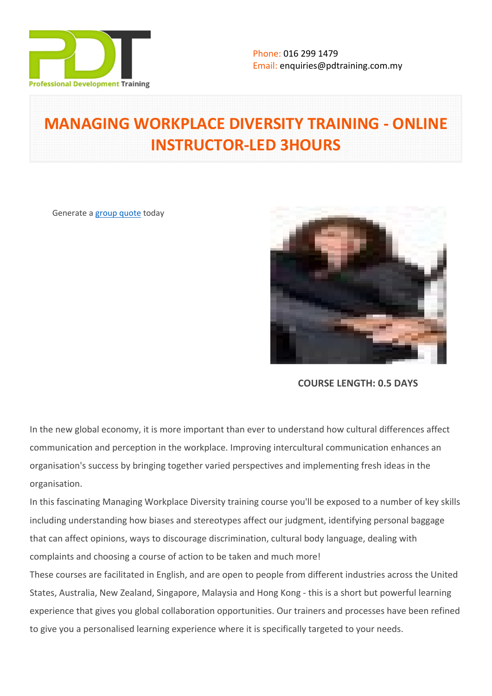

# **MANAGING WORKPLACE DIVERSITY TRAINING - ONLINE INSTRUCTOR-LED 3HOURS**

Generate a [group quote](https://pdtraining.com.my/inhouse-training-quote?cse=PDTW259_C) today



**COURSE LENGTH: 0.5 DAYS**

In the new global economy, it is more important than ever to understand how cultural differences affect communication and perception in the workplace. Improving intercultural communication enhances an organisation's success by bringing together varied perspectives and implementing fresh ideas in the organisation.

In this fascinating Managing Workplace Diversity training course you'll be exposed to a number of key skills including understanding how biases and stereotypes affect our judgment, identifying personal baggage that can affect opinions, ways to discourage discrimination, cultural body language, dealing with complaints and choosing a course of action to be taken and much more!

These courses are facilitated in English, and are open to people from different industries across the United States, Australia, New Zealand, Singapore, Malaysia and Hong Kong - this is a short but powerful learning experience that gives you global collaboration opportunities. Our trainers and processes have been refined to give you a personalised learning experience where it is specifically targeted to your needs.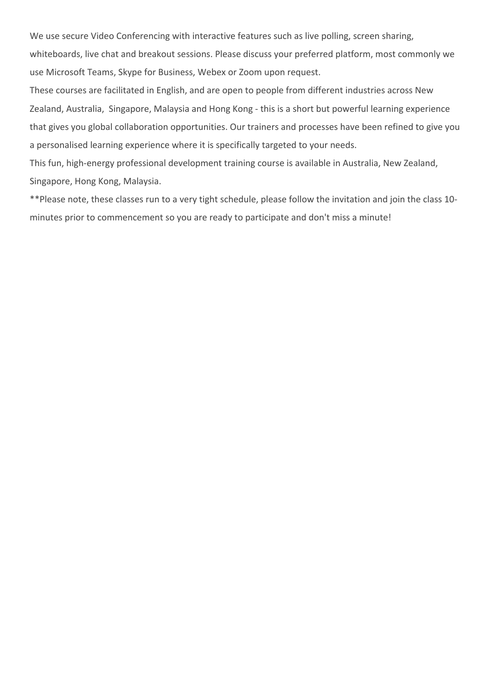We use secure Video Conferencing with interactive features such as live polling, screen sharing,

whiteboards, live chat and breakout sessions. Please discuss your preferred platform, most commonly we use Microsoft Teams, Skype for Business, Webex or Zoom upon request.

These courses are facilitated in English, and are open to people from different industries across New Zealand, Australia, Singapore, Malaysia and Hong Kong - this is a short but powerful learning experience that gives you global collaboration opportunities. Our trainers and processes have been refined to give you a personalised learning experience where it is specifically targeted to your needs.

This fun, high-energy professional development training course is available in Australia, New Zealand, Singapore, Hong Kong, Malaysia.

\*\*Please note, these classes run to a very tight schedule, please follow the invitation and join the class 10 minutes prior to commencement so you are ready to participate and don't miss a minute!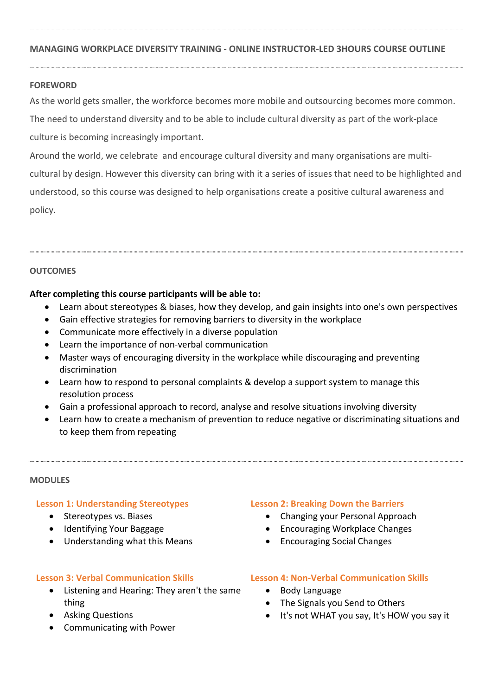#### **MANAGING WORKPLACE DIVERSITY TRAINING - ONLINE INSTRUCTOR-LED 3HOURS COURSE OUTLINE**

#### **FOREWORD**

As the world gets smaller, the workforce becomes more mobile and outsourcing becomes more common.

The need to understand diversity and to be able to include cultural diversity as part of the work-place culture is becoming increasingly important.

Around the world, we celebrate and encourage cultural diversity and many organisations are multicultural by design. However this diversity can bring with it a series of issues that need to be highlighted and understood, so this course was designed to help organisations create a positive cultural awareness and policy.

### **OUTCOMES**

#### **After completing this course participants will be able to:**

- Learn about stereotypes & biases, how they develop, and gain insights into one's own perspectives
- Gain effective strategies for removing barriers to diversity in the workplace
- Communicate more effectively in a diverse population
- Learn the importance of non-verbal communication
- Master ways of encouraging diversity in the workplace while discouraging and preventing discrimination
- Learn how to respond to personal complaints & develop a support system to manage this resolution process
- Gain a professional approach to record, analyse and resolve situations involving diversity
- Learn how to create a mechanism of prevention to reduce negative or discriminating situations and to keep them from repeating

#### **MODULES**

#### **Lesson 1: Understanding Stereotypes**

- Stereotypes vs. Biases
- Identifying Your Baggage
- Understanding what this Means

#### **Lesson 3: Verbal Communication Skills**

- Listening and Hearing: They aren't the same thing
- Asking Questions
- Communicating with Power

#### **Lesson 2: Breaking Down the Barriers**

- Changing your Personal Approach
- Encouraging Workplace Changes
- Encouraging Social Changes

# **Lesson 4: Non-Verbal Communication Skills**

- Body Language
- The Signals you Send to Others
- It's not WHAT you say, It's HOW you say it